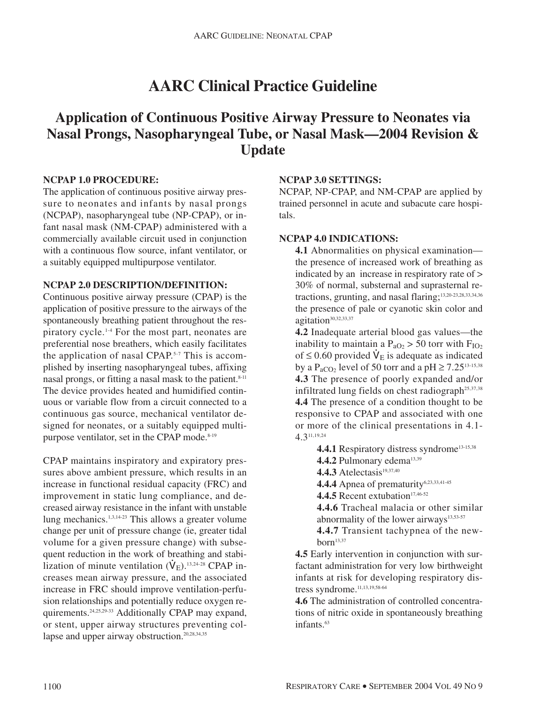# **AARC Clinical Practice Guideline**

## **Application of Continuous Positive Airway Pressure to Neonates via Nasal Prongs, Nasopharyngeal Tube, or Nasal Mask—2004 Revision & Update**

#### **NCPAP 1.0 PROCEDURE:**

The application of continuous positive airway pressure to neonates and infants by nasal prongs (NCPAP), nasopharyngeal tube (NP-CPAP), or infant nasal mask (NM-CPAP) administered with a commercially available circuit used in conjunction with a continuous flow source, infant ventilator, or a suitably equipped multipurpose ventilator.

#### **NCPAP 2.0 DESCRIPTION/DEFINITION:**

Continuous positive airway pressure (CPAP) is the application of positive pressure to the airways of the spontaneously breathing patient throughout the respiratory cycle.1-4 For the most part, neonates are preferential nose breathers, which easily facilitates the application of nasal CPAP.5-7 This is accomplished by inserting nasopharyngeal tubes, affixing nasal prongs, or fitting a nasal mask to the patient.<sup>8-11</sup> The device provides heated and humidified continuous or variable flow from a circuit connected to a continuous gas source, mechanical ventilator designed for neonates, or a suitably equipped multipurpose ventilator, set in the CPAP mode.<sup>8-19</sup>

CPAP maintains inspiratory and expiratory pressures above ambient pressure, which results in an increase in functional residual capacity (FRC) and improvement in static lung compliance, and decreased airway resistance in the infant with unstable lung mechanics.1,3,14-23 This allows a greater volume change per unit of pressure change (ie, greater tidal volume for a given pressure change) with subsequent reduction in the work of breathing and stabilization of minute ventilation  $(\dot{V}_{E})$ .<sup>13,24-28</sup> CPAP increases mean airway pressure, and the associated increase in FRC should improve ventilation-perfusion relationships and potentially reduce oxygen requirements.24,25,29-33 Additionally CPAP may expand, or stent, upper airway structures preventing collapse and upper airway obstruction.<sup>20,28,34,35</sup>

#### **NCPAP 3.0 SETTINGS:**

NCPAP, NP-CPAP, and NM-CPAP are applied by trained personnel in acute and subacute care hospitals.

#### **NCPAP 4.0 INDICATIONS:**

**4.1** Abnormalities on physical examination the presence of increased work of breathing as indicated by an increase in respiratory rate of > 30% of normal, substernal and suprasternal retractions, grunting, and nasal flaring;13,20-23,28,33,34,36 the presence of pale or cyanotic skin color and agitation<sup>30,32,33,37</sup>

**4.2** Inadequate arterial blood gas values—the inability to maintain a  $P_{aO_2} > 50$  torr with  $F_{IO2}$ of  $\leq$  0.60 provided  $\dot{V}_E$  is adequate as indicated by a P<sub>aCO2</sub> level of 50 torr and a pH  $\geq$  7.25<sup>13-15,38</sup> **4.3** The presence of poorly expanded and/or infiltrated lung fields on chest radiograph<sup>25,37,38</sup> **4.4** The presence of a condition thought to be responsive to CPAP and associated with one or more of the clinical presentations in 4.1- 4.311,19,24

4.4.1 Respiratory distress syndrome<sup>13-15,38</sup> 4.4.2 Pulmonary edema<sup>13,39</sup>

**4.4.3** Atelectasis<sup>19,37,40</sup>

4.4.4 Apnea of prematurity<sup>6,23,33,41-45</sup>

4.4.5 Recent extubation<sup>17,46-52</sup>

**4.4.6** Tracheal malacia or other similar abnormality of the lower airways<sup>13,53-57</sup>

**4.4.7** Transient tachypnea of the new $horn<sup>13,37</sup>$ 

**4.5** Early intervention in conjunction with surfactant administration for very low birthweight infants at risk for developing respiratory distress syndrome.<sup>11,13,19,58-64</sup>

**4.6** The administration of controlled concentrations of nitric oxide in spontaneously breathing infants.<sup>63</sup>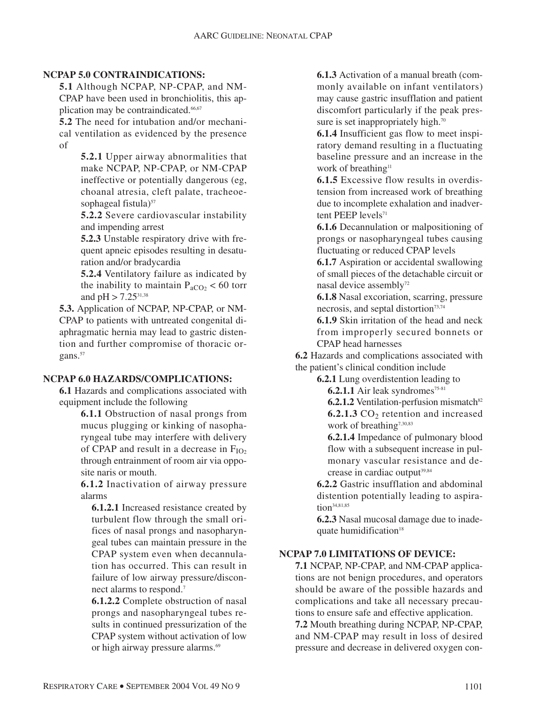#### **NCPAP 5.0 CONTRAINDICATIONS:**

**5.1** Although NCPAP, NP-CPAP, and NM-CPAP have been used in bronchiolitis, this application may be contraindicated.<sup>66,67</sup>

**5.2** The need for intubation and/or mechanical ventilation as evidenced by the presence of

> **5.2.1** Upper airway abnormalities that make NCPAP, NP-CPAP, or NM-CPAP ineffective or potentially dangerous (eg, choanal atresia, cleft palate, tracheoesophageal fistula)<sup>57</sup>

> **5.2.2** Severe cardiovascular instability and impending arrest

> **5.2.3** Unstable respiratory drive with frequent apneic episodes resulting in desaturation and/or bradycardia

> **5.2.4** Ventilatory failure as indicated by the inability to maintain  $P_{aCO_2}$  < 60 torr and  $pH > 7.25^{31,38}$

**5.3.** Application of NCPAP, NP-CPAP, or NM-CPAP to patients with untreated congenital diaphragmatic hernia may lead to gastric distention and further compromise of thoracic organs.<sup>57</sup>

#### **NCPAP 6.0 HAZARDS/COMPLICATIONS:**

**6.1** Hazards and complications associated with equipment include the following

> **6.1.1** Obstruction of nasal prongs from mucus plugging or kinking of nasopharyngeal tube may interfere with delivery of CPAP and result in a decrease in  $F_{IO2}$ through entrainment of room air via opposite naris or mouth.

> **6.1.2** Inactivation of airway pressure alarms

**6.1.2.1** Increased resistance created by turbulent flow through the small orifices of nasal prongs and nasopharyngeal tubes can maintain pressure in the CPAP system even when decannulation has occurred. This can result in failure of low airway pressure/disconnect alarms to respond.7

**6.1.2.2** Complete obstruction of nasal prongs and nasopharyngeal tubes results in continued pressurization of the CPAP system without activation of low or high airway pressure alarms.<sup>69</sup>

**6.1.3** Activation of a manual breath (commonly available on infant ventilators) may cause gastric insufflation and patient discomfort particularly if the peak pressure is set inappropriately high.<sup>70</sup>

**6.1.4** Insufficient gas flow to meet inspiratory demand resulting in a fluctuating baseline pressure and an increase in the work of breathing<sup>11</sup>

**6.1.5** Excessive flow results in overdistension from increased work of breathing due to incomplete exhalation and inadvertent PEEP levels<sup>71</sup>

**6.1.6** Decannulation or malpositioning of prongs or nasopharyngeal tubes causing fluctuating or reduced CPAP levels

**6.1.7** Aspiration or accidental swallowing of small pieces of the detachable circuit or nasal device assembly<sup>72</sup>

**6.1.8** Nasal excoriation, scarring, pressure necrosis, and septal distortion<sup>73,74</sup>

**6.1.9** Skin irritation of the head and neck from improperly secured bonnets or CPAP head harnesses

**6.2** Hazards and complications associated with the patient's clinical condition include

**6.2.1** Lung overdistention leading to

**6.2.1.1** Air leak syndromes<sup>75-81</sup>

**6.2.1.2** Ventilation-perfusion mismatch<sup>82</sup> **6.2.1.3** CO<sub>2</sub> retention and increased work of breathing<sup>7,30,83</sup>

**6.2.1.4** Impedance of pulmonary blood flow with a subsequent increase in pulmonary vascular resistance and decrease in cardiac output $39,84$ 

**6.2.2** Gastric insufflation and abdominal distention potentially leading to aspiration34,81,85

**6.2.3** Nasal mucosal damage due to inadequate humidification<sup>18</sup>

#### **NCPAP 7.0 LIMITATIONS OF DEVICE:**

**7.1** NCPAP, NP-CPAP, and NM-CPAP applications are not benign procedures, and operators should be aware of the possible hazards and complications and take all necessary precautions to ensure safe and effective application.

**7.2** Mouth breathing during NCPAP, NP-CPAP, and NM-CPAP may result in loss of desired pressure and decrease in delivered oxygen con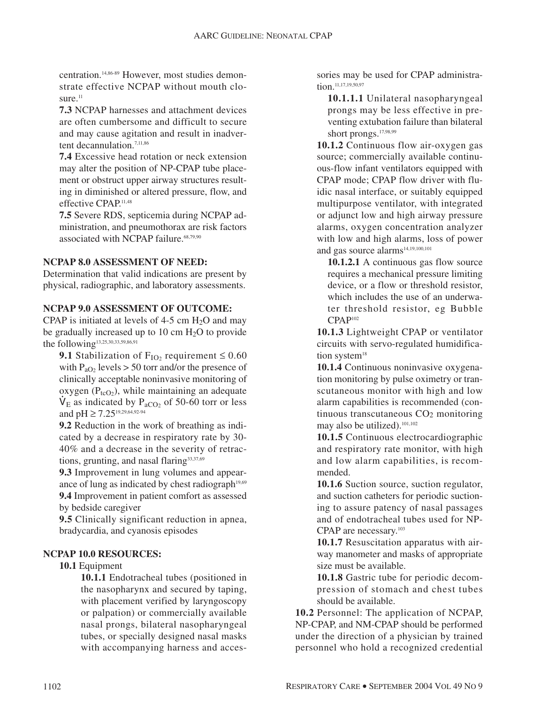centration.14,86-89 However, most studies demonstrate effective NCPAP without mouth closure. $11$ 

**7.3** NCPAP harnesses and attachment devices are often cumbersome and difficult to secure and may cause agitation and result in inadvertent decannulation.<sup>7,11,86</sup>

**7.4** Excessive head rotation or neck extension may alter the position of NP-CPAP tube placement or obstruct upper airway structures resulting in diminished or altered pressure, flow, and effective CPAP.<sup>11,48</sup>

**7.5** Severe RDS, septicemia during NCPAP administration, and pneumothorax are risk factors associated with NCPAP failure. 68,79,90

#### **NCPAP 8.0 ASSESSMENT OF NEED:**

Determination that valid indications are present by physical, radiographic, and laboratory assessments.

#### **NCPAP 9.0 ASSESSMENT OF OUTCOME:**

CPAP is initiated at levels of  $4-5$  cm  $H<sub>2</sub>O$  and may be gradually increased up to 10 cm  $H<sub>2</sub>O$  to provide the following<sup>13,25,30,33,59,86,91</sup>

**9.1** Stabilization of  $F_{IO_2}$  requirement  $\leq 0.60$ with  $P_{aO_2}$  levels > 50 torr and/or the presence of clinically acceptable noninvasive monitoring of oxygen  $(P_{tcO2})$ , while maintaining an adequate  $\dot{V}_E$  as indicated by P<sub>aCO2</sub> of 50-60 torr or less and  $pH \ge 7.25^{19,29,64,92-94}$ 

**9.2** Reduction in the work of breathing as indicated by a decrease in respiratory rate by 30- 40% and a decrease in the severity of retractions, grunting, and nasal flaring $33,37,69$ 

**9.3** Improvement in lung volumes and appearance of lung as indicated by chest radiograph $19,69$ **9.4** Improvement in patient comfort as assessed by bedside caregiver

**9.5** Clinically significant reduction in apnea, bradycardia, and cyanosis episodes

#### **NCPAP 10.0 RESOURCES:**

#### **10.1** Equipment

**10.1.1** Endotracheal tubes (positioned in the nasopharynx and secured by taping, with placement verified by laryngoscopy or palpation) or commercially available nasal prongs, bilateral nasopharyngeal tubes, or specially designed nasal masks with accompanying harness and accessories may be used for CPAP administration.<sup>11,17,19,50,97</sup>

**10.1.1.1** Unilateral nasopharyngeal prongs may be less effective in preventing extubation failure than bilateral short prongs.<sup>17,98,99</sup>

**10.1.2** Continuous flow air-oxygen gas source; commercially available continuous-flow infant ventilators equipped with CPAP mode; CPAP flow driver with fluidic nasal interface, or suitably equipped multipurpose ventilator, with integrated or adjunct low and high airway pressure alarms, oxygen concentration analyzer with low and high alarms, loss of power and gas source alarms<sup>14,19,100,101</sup>

**10.1.2.1** A continuous gas flow source requires a mechanical pressure limiting device, or a flow or threshold resistor, which includes the use of an underwater threshold resistor, eg Bubble CPAP102

**10.1.3** Lightweight CPAP or ventilator circuits with servo-regulated humidification system<sup>18</sup>

**10.1.4** Continuous noninvasive oxygenation monitoring by pulse oximetry or transcutaneous monitor with high and low alarm capabilities is recommended (continuous transcutaneous CO2 monitoring may also be utilized).<sup>101,102</sup>

**10.1.5** Continuous electrocardiographic and respiratory rate monitor, with high and low alarm capabilities, is recommended.

**10.1.6** Suction source, suction regulator, and suction catheters for periodic suctioning to assure patency of nasal passages and of endotracheal tubes used for NP-CPAP are necessary.<sup>103</sup>

**10.1.7** Resuscitation apparatus with airway manometer and masks of appropriate size must be available.

**10.1.8** Gastric tube for periodic decompression of stomach and chest tubes should be available.

**10.2** Personnel: The application of NCPAP, NP-CPAP, and NM-CPAP should be performed under the direction of a physician by trained personnel who hold a recognized credential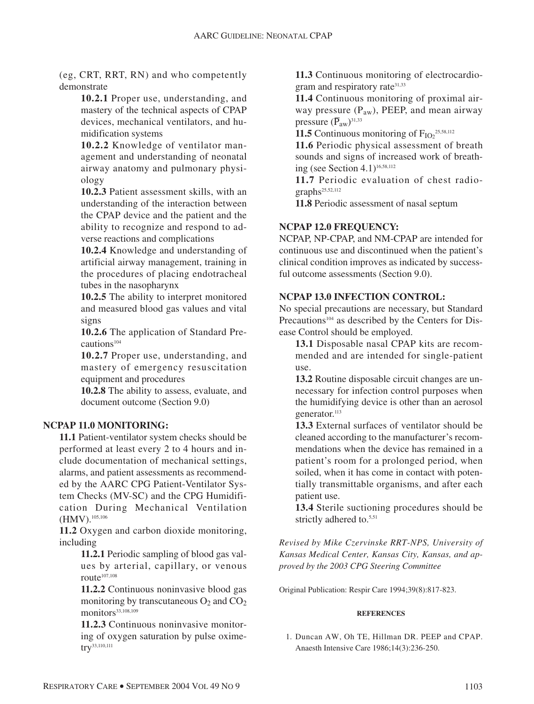(eg, CRT, RRT, RN) and who competently demonstrate

> **10.2.1** Proper use, understanding, and mastery of the technical aspects of CPAP devices, mechanical ventilators, and humidification systems

> **10.2.2** Knowledge of ventilator management and understanding of neonatal airway anatomy and pulmonary physiology

> **10.2.3** Patient assessment skills, with an understanding of the interaction between the CPAP device and the patient and the ability to recognize and respond to adverse reactions and complications

> **10.2.4** Knowledge and understanding of artificial airway management, training in the procedures of placing endotracheal tubes in the nasopharynx

> **10.2.5** The ability to interpret monitored and measured blood gas values and vital signs

> **10.2.6** The application of Standard Precautions<sup>104</sup>

> **10.2.7** Proper use, understanding, and mastery of emergency resuscitation equipment and procedures

**10.2.8** The ability to assess, evaluate, and document outcome (Section 9.0)

#### **NCPAP 11.0 MONITORING:**

**11.1** Patient-ventilator system checks should be performed at least every 2 to 4 hours and include documentation of mechanical settings, alarms, and patient assessments as recommended by the AARC CPG Patient-Ventilator System Checks (MV-SC) and the CPG Humidification During Mechanical Ventilation (HMV).<sup>105,106</sup>

**11.2** Oxygen and carbon dioxide monitoring, including

> **11.2.1** Periodic sampling of blood gas values by arterial, capillary, or venous route $107,108$

> **11.2.2** Continuous noninvasive blood gas monitoring by transcutaneous  $O_2$  and  $CO_2$ monitors<sup>33,108,109</sup>

> **11.2.3** Continuous noninvasive monitoring of oxygen saturation by pulse oximetry<sup>33,110,111</sup>

**11.3** Continuous monitoring of electrocardiogram and respiratory rate<sup>31,33</sup>

**11.4** Continuous monitoring of proximal airway pressure ( $P_{aw}$ ), PEEP, and mean airway pressure  $(\overline{P}_{aw})^{31,33}$ 

**11.5** Continuous monitoring of  $F_{IO2}^{\text{25,58,112}}$ 

**11.6** Periodic physical assessment of breath sounds and signs of increased work of breathing (see Section 4.1)16,58,112

**11.7** Periodic evaluation of chest radio $graphs<sup>25,52,112</sup>$ 

**11.8** Periodic assessment of nasal septum

### **NCPAP 12.0 FREQUENCY:**

NCPAP, NP-CPAP, and NM-CPAP are intended for continuous use and discontinued when the patient's clinical condition improves as indicated by successful outcome assessments (Section 9.0).

#### **NCPAP 13.0 INFECTION CONTROL:**

No special precautions are necessary, but Standard Precautions<sup>104</sup> as described by the Centers for Disease Control should be employed.

**13.1** Disposable nasal CPAP kits are recommended and are intended for single-patient use.

**13.2** Routine disposable circuit changes are unnecessary for infection control purposes when the humidifying device is other than an aerosol generator.<sup>113</sup>

**13.3** External surfaces of ventilator should be cleaned according to the manufacturer's recommendations when the device has remained in a patient's room for a prolonged period, when soiled, when it has come in contact with potentially transmittable organisms, and after each patient use.

**13.4** Sterile suctioning procedures should be strictly adhered to.<sup>5,51</sup>

*Revised by Mike Czervinske RRT-NPS, University of Kansas Medical Center, Kansas City, Kansas, and approved by the 2003 CPG Steering Committee*

Original Publication: Respir Care 1994;39(8):817-823.

#### **REFERENCES**

1. Duncan AW, Oh TE, Hillman DR. PEEP and CPAP. Anaesth Intensive Care 1986;14(3):236-250.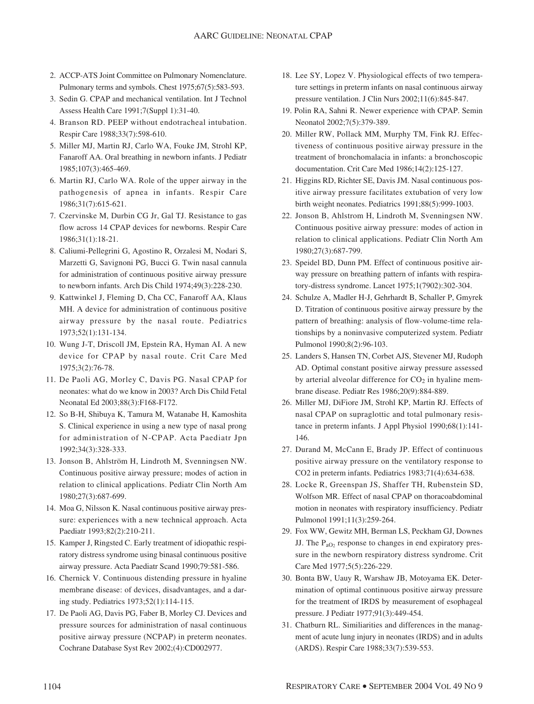- 2. ACCP-ATS Joint Committee on Pulmonary Nomenclature. Pulmonary terms and symbols. Chest 1975;67(5):583-593.
- 3. Sedin G. CPAP and mechanical ventilation. Int J Technol Assess Health Care 1991;7(Suppl 1):31-40.
- 4. Branson RD. PEEP without endotracheal intubation. Respir Care 1988;33(7):598-610.
- 5. Miller MJ, Martin RJ, Carlo WA, Fouke JM, Strohl KP, Fanaroff AA. Oral breathing in newborn infants. J Pediatr 1985;107(3):465-469.
- 6. Martin RJ, Carlo WA. Role of the upper airway in the pathogenesis of apnea in infants. Respir Care 1986;31(7):615-621.
- 7. Czervinske M, Durbin CG Jr, Gal TJ. Resistance to gas flow across 14 CPAP devices for newborns. Respir Care 1986;31(1):18-21.
- 8. Caliumi-Pellegrini G, Agostino R, Orzalesi M, Nodari S, Marzetti G, Savignoni PG, Bucci G. Twin nasal cannula for administration of continuous positive airway pressure to newborn infants. Arch Dis Child 1974;49(3):228-230.
- 9. Kattwinkel J, Fleming D, Cha CC, Fanaroff AA, Klaus MH. A device for administration of continuous positive airway pressure by the nasal route. Pediatrics 1973;52(1):131-134.
- 10. Wung J-T, Driscoll JM, Epstein RA, Hyman AI. A new device for CPAP by nasal route. Crit Care Med 1975;3(2):76-78.
- 11. De Paoli AG, Morley C, Davis PG. Nasal CPAP for neonates: what do we know in 2003? Arch Dis Child Fetal Neonatal Ed 2003;88(3):F168-F172.
- 12. So B-H, Shibuya K, Tamura M, Watanabe H, Kamoshita S. Clinical experience in using a new type of nasal prong for administration of N-CPAP. Acta Paediatr Jpn 1992;34(3):328-333.
- 13. Jonson B, Ahlström H, Lindroth M, Svenningsen NW. Continuous positive airway pressure; modes of action in relation to clinical applications. Pediatr Clin North Am 1980;27(3):687-699.
- 14. Moa G, Nilsson K. Nasal continuous positive airway pressure: experiences with a new technical approach. Acta Paediatr 1993;82(2):210-211.
- 15. Kamper J, Ringsted C. Early treatment of idiopathic respiratory distress syndrome using binasal continuous positive airway pressure. Acta Paediatr Scand 1990;79:581-586.
- 16. Chernick V. Continuous distending pressure in hyaline membrane disease: of devices, disadvantages, and a daring study. Pediatrics 1973;52(1):114-115.
- 17. De Paoli AG, Davis PG, Faber B, Morley CJ. Devices and pressure sources for administration of nasal continuous positive airway pressure (NCPAP) in preterm neonates. Cochrane Database Syst Rev 2002;(4):CD002977.
- 18. Lee SY, Lopez V. Physiological effects of two temperature settings in preterm infants on nasal continuous airway pressure ventilation. J Clin Nurs 2002;11(6):845-847.
- 19. Polin RA, Sahni R. Newer experience with CPAP. Semin Neonatol 2002;7(5):379-389.
- 20. Miller RW, Pollack MM, Murphy TM, Fink RJ. Effectiveness of continuous positive airway pressure in the treatment of bronchomalacia in infants: a bronchoscopic documentation. Crit Care Med 1986;14(2):125-127.
- 21. Higgins RD, Richter SE, Davis JM. Nasal continuous positive airway pressure facilitates extubation of very low birth weight neonates. Pediatrics 1991;88(5):999-1003.
- 22. Jonson B, Ahlstrom H, Lindroth M, Svenningsen NW. Continuous positive airway pressure: modes of action in relation to clinical applications. Pediatr Clin North Am 1980;27(3):687-799.
- 23. Speidel BD, Dunn PM. Effect of continuous positive airway pressure on breathing pattern of infants with respiratory-distress syndrome. Lancet 1975;1(7902):302-304.
- 24. Schulze A, Madler H-J, Gehrhardt B, Schaller P, Gmyrek D. Titration of continuous positive airway pressure by the pattern of breathing: analysis of flow-volume-time relationships by a noninvasive computerized system. Pediatr Pulmonol 1990;8(2):96-103.
- 25. Landers S, Hansen TN, Corbet AJS, Stevener MJ, Rudoph AD. Optimal constant positive airway pressure assessed by arterial alveolar difference for  $CO<sub>2</sub>$  in hyaline membrane disease. Pediatr Res 1986;20(9):884-889.
- 26. Miller MJ, DiFiore JM, Strohl KP, Martin RJ. Effects of nasal CPAP on supraglottic and total pulmonary resistance in preterm infants. J Appl Physiol 1990;68(1):141- 146.
- 27. Durand M, McCann E, Brady JP. Effect of continuous positive airway pressure on the ventilatory response to CO2 in preterm infants. Pediatrics 1983;71(4):634-638.
- 28. Locke R, Greenspan JS, Shaffer TH, Rubenstein SD, Wolfson MR. Effect of nasal CPAP on thoracoabdominal motion in neonates with respiratory insufficiency. Pediatr Pulmonol 1991;11(3):259-264.
- 29. Fox WW, Gewitz MH, Berman LS, Peckham GJ, Downes JJ. The  $P_{aO_2}$  response to changes in end expiratory pressure in the newborn respiratory distress syndrome. Crit Care Med 1977;5(5):226-229.
- 30. Bonta BW, Uauy R, Warshaw JB, Motoyama EK. Determination of optimal continuous positive airway pressure for the treatment of IRDS by measurement of esophageal pressure. J Pediatr 1977;91(3):449-454.
- 31. Chatburn RL. Similiarities and differences in the managment of acute lung injury in neonates (IRDS) and in adults (ARDS). Respir Care 1988;33(7):539-553.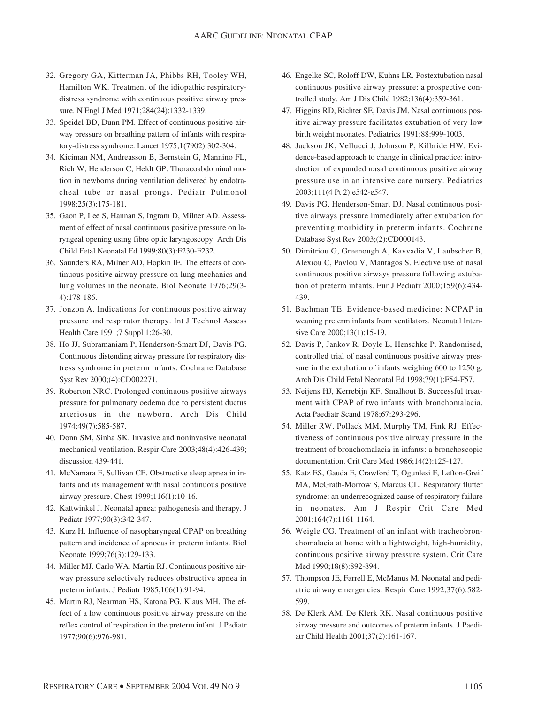- 32. Gregory GA, Kitterman JA, Phibbs RH, Tooley WH, Hamilton WK. Treatment of the idiopathic respiratorydistress syndrome with continuous positive airway pressure. N Engl J Med 1971;284(24):1332-1339.
- 33. Speidel BD, Dunn PM. Effect of continuous positive airway pressure on breathing pattern of infants with respiratory-distress syndrome. Lancet 1975;1(7902):302-304.
- 34. Kiciman NM, Andreasson B, Bernstein G, Mannino FL, Rich W, Henderson C, Heldt GP. Thoracoabdominal motion in newborns during ventilation delivered by endotracheal tube or nasal prongs. Pediatr Pulmonol 1998;25(3):175-181.
- 35. Gaon P, Lee S, Hannan S, Ingram D, Milner AD. Assessment of effect of nasal continuous positive pressure on laryngeal opening using fibre optic laryngoscopy. Arch Dis Child Fetal Neonatal Ed 1999;80(3):F230-F232.
- 36. Saunders RA, Milner AD, Hopkin IE. The effects of continuous positive airway pressure on lung mechanics and lung volumes in the neonate. Biol Neonate 1976;29(3- 4):178-186.
- 37. Jonzon A. Indications for continuous positive airway pressure and respirator therapy. Int J Technol Assess Health Care 1991;7 Suppl 1:26-30.
- 38. Ho JJ, Subramaniam P, Henderson-Smart DJ, Davis PG. Continuous distending airway pressure for respiratory distress syndrome in preterm infants. Cochrane Database Syst Rev 2000;(4):CD002271.
- 39. Roberton NRC. Prolonged continuous positive airways pressure for pulmonary oedema due to persistent ductus arteriosus in the newborn. Arch Dis Child 1974;49(7):585-587.
- 40. Donn SM, Sinha SK. Invasive and noninvasive neonatal mechanical ventilation. Respir Care 2003;48(4):426-439; discussion 439-441.
- 41. McNamara F, Sullivan CE. Obstructive sleep apnea in infants and its management with nasal continuous positive airway pressure. Chest 1999;116(1):10-16.
- 42. Kattwinkel J. Neonatal apnea: pathogenesis and therapy. J Pediatr 1977;90(3):342-347.
- 43. Kurz H. Influence of nasopharyngeal CPAP on breathing pattern and incidence of apnoeas in preterm infants. Biol Neonate 1999;76(3):129-133.
- 44. Miller MJ. Carlo WA, Martin RJ. Continuous positive airway pressure selectively reduces obstructive apnea in preterm infants. J Pediatr 1985;106(1):91-94.
- 45. Martin RJ, Nearman HS, Katona PG, Klaus MH. The effect of a low continuous positive airway pressure on the reflex control of respiration in the preterm infant. J Pediatr 1977;90(6):976-981.
- 46. Engelke SC, Roloff DW, Kuhns LR. Postextubation nasal continuous positive airway pressure: a prospective controlled study. Am J Dis Child 1982;136(4):359-361.
- 47. Higgins RD, Richter SE, Davis JM. Nasal continuous positive airway pressure facilitates extubation of very low birth weight neonates. Pediatrics 1991;88:999-1003.
- 48. Jackson JK, Vellucci J, Johnson P, Kilbride HW. Evidence-based approach to change in clinical practice: introduction of expanded nasal continuous positive airway pressure use in an intensive care nursery. Pediatrics 2003;111(4 Pt 2):e542-e547.
- 49. Davis PG, Henderson-Smart DJ. Nasal continuous positive airways pressure immediately after extubation for preventing morbidity in preterm infants. Cochrane Database Syst Rev 2003;(2):CD000143.
- 50. Dimitriou G, Greenough A, Kavvadia V, Laubscher B, Alexiou C, Pavlou V, Mantagos S. Elective use of nasal continuous positive airways pressure following extubation of preterm infants. Eur J Pediatr 2000;159(6):434- 439.
- 51. Bachman TE. Evidence-based medicine: NCPAP in weaning preterm infants from ventilators. Neonatal Intensive Care 2000;13(1):15-19.
- 52. Davis P, Jankov R, Doyle L, Henschke P. Randomised, controlled trial of nasal continuous positive airway pressure in the extubation of infants weighing 600 to 1250 g. Arch Dis Child Fetal Neonatal Ed 1998;79(1):F54-F57.
- 53. Neijens HJ, Kerrebijn KF, Smalhout B. Successful treatment with CPAP of two infants with bronchomalacia. Acta Paediatr Scand 1978;67:293-296.
- 54. Miller RW, Pollack MM, Murphy TM, Fink RJ. Effectiveness of continuous positive airway pressure in the treatment of bronchomalacia in infants: a bronchoscopic documentation. Crit Care Med 1986;14(2):125-127.
- 55. Katz ES, Gauda E, Crawford T, Ogunlesi F, Lefton-Greif MA, McGrath-Morrow S, Marcus CL. Respiratory flutter syndrome: an underrecognized cause of respiratory failure in neonates. Am J Respir Crit Care Med 2001;164(7):1161-1164.
- 56. Weigle CG. Treatment of an infant with tracheobronchomalacia at home with a lightweight, high-humidity, continuous positive airway pressure system. Crit Care Med 1990;18(8):892-894.
- 57. Thompson JE, Farrell E, McManus M. Neonatal and pediatric airway emergencies. Respir Care 1992;37(6):582- 599.
- 58. De Klerk AM, De Klerk RK. Nasal continuous positive airway pressure and outcomes of preterm infants. J Paediatr Child Health 2001;37(2):161-167.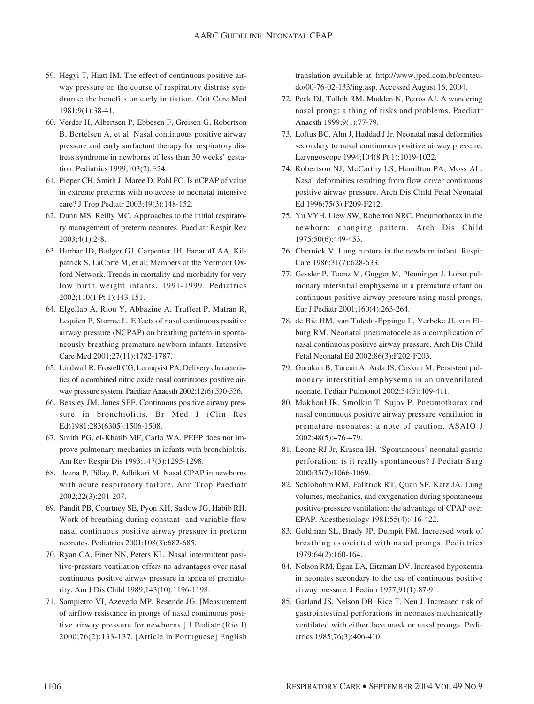- 59. Hegyi T, Hiatt IM. The effect of continuous positive airway pressure on the course of respiratory distress syndrome: the benefits on early initiation. Crit Care Med 1981;9(1):38-41.
- 60. Verder H, Albertsen P, Ebbesen F, Greisen G, Robertson B, Bertelsen A, et al. Nasal continuous positive airway pressure and early surfactant therapy for respiratory distress syndrome in newborns of less than 30 weeks' gestation. Pediatrics 1999;103(2):E24.
- 61. Pieper CH, Smith J, Maree D, Pohl FC. Is nCPAP of value in extreme preterms with no access to neonatal intensive care? J Trop Pediatr 2003;49(3):148-152.
- 62. Dunn MS, Reilly MC. Approaches to the initial respiratory management of preterm neonates. Paediatr Respir Rev 2003;4(1):2-8.
- 63. Horbar JD, Badger GJ, Carpenter JH, Fanaroff AA, Kilpatrick S, LaCorte M, et al; Members of the Vermont Oxford Network. Trends in mortality and morbidity for very low birth weight infants, 1991-1999. Pediatrics 2002;110(1 Pt 1):143-151.
- 64. Elgellab A, Riou Y, Abbazine A, Truffert P, Matran R, Lequien P, Storme L. Effects of nasal continuous positive airway pressure (NCPAP) on breathing pattern in spontaneously breathing premature newborn infants. Intensive Care Med 2001;27(11):1782-1787.
- 65. Lindwall R, Frostell CG, Lonnqvist PA. Delivery characteristics of a combined nitric oxide nasal continuous positive airway pressure system. Paediatr Anaesth 2002;12(6):530-536.
- 66. Beasley JM, Jones SEF. Continuous positive airway pressure in bronchiolitis. Br Med J (Clin Res Ed)1981;283(6305):1506-1508.
- 67. Smith PG, el-Khatib MF, Carlo WA. PEEP does not improve pulmonary mechanics in infants with bronchiolitis. Am Rev Respir Dis 1993;147(5):1295-1298.
- 68. Jeena P, Pillay P, Adhikari M. Nasal CPAP in newborns with acute respiratory failure. Ann Trop Paediatr 2002;22(3):201-207.
- 69. Pandit PB, Courtney SE, Pyon KH, Saslow JG, Habib RH. Work of breathing during constant- and variable-flow nasal continuous positive airway pressure in preterm neonates. Pediatrics 2001;108(3):682-685.
- 70. Ryan CA, Finer NN, Peters KL. Nasal intermittent positive-pressure ventilation offers no advantages over nasal continuous positive airway pressure in apnea of prematurity. Am J Dis Child 1989;143(10):1196-1198.
- 71. Sampietro VI, Azevedo MP, Resende JG. [Measurement of airflow resistance in prongs of nasal continuous positive airway pressure for newborns.] J Pediatr (Rio J) 2000;76(2):133-137. [Article in Portuguese] English

translation available at http://www.jped.com.br/conteudo/00-76-02-133/ing.asp. Accessed August 16, 2004.

- 72. Peck DJ, Tulloh RM, Madden N, Petros AJ. A wandering nasal prong: a thing of risks and problems. Paediatr Anaesth 1999;9(1):77-79.
- 73. Loftus BC, Ahn J, Haddad J Jr. Neonatal nasal deformities secondary to nasal continuous positive airway pressure. Laryngoscope 1994;104(8 Pt 1):1019-1022.
- 74. Robertson NJ, McCarthy LS, Hamilton PA, Moss AL. Nasal deformities resulting from flow driver continuous positive airway pressure. Arch Dis Child Fetal Neonatal Ed 1996;75(3):F209-F212.
- 75. Yu VYH, Liew SW, Roberton NRC. Pneumothorax in the newborn: changing pattern. Arch Dis Child 1975;50(6):449-453.
- 76. Chernick V. Lung rupture in the newborn infant. Respir Care 1986;31(7):628-633.
- 77. Gessler P, Toenz M, Gugger M, Pfenninger J. Lobar pulmonary interstitial emphysema in a premature infant on continuous positive airway pressure using nasal prongs. Eur J Pediatr 2001;160(4):263-264.
- 78. de Bie HM, van Toledo-Eppinga L, Verbeke JI, van Elburg RM. Neonatal pneumatocele as a complication of nasal continuous positive airway pressure. Arch Dis Child Fetal Neonatal Ed 2002;86(3):F202-F203.
- 79. Gurakan B, Tarcan A, Arda IS, Coskun M. Persistent pulmonary interstitial emphysema in an unventilated neonate. Pediatr Pulmonol 2002;34(5):409-411.
- 80. Makhoul IR, Smolkin T, Sujov P. Pneumothorax and nasal continuous positive airway pressure ventilation in premature neonates: a note of caution. ASAIO J 2002;48(5):476-479.
- 81. Leone RJ Jr, Krasna IH. 'Spontaneous' neonatal gastric perforation: is it really spontaneous? J Pediatr Surg 2000;35(7):1066-1069.
- 82. Schlobohm RM, Falltrick RT, Quan SF, Katz JA. Lung volumes, mechanics, and oxygenation during spontaneous positive-pressure ventilation: the advantage of CPAP over EPAP. Anesthesiology 1981;55(4):416-422.
- 83. Goldman SL, Brady JP, Dumpit FM. Increased work of breathing associated with nasal prongs. Pediatrics 1979;64(2):160-164.
- 84. Nelson RM, Egan EA, Eitzman DV. Increased hypoxemia in neonates secondary to the use of continuous positive airway pressure. J Pediatr 1977;91(1):87-91.
- 85. Garland JS, Nelson DB, Rice T, Neu J. Increased risk of gastrointestinal perforations in neonates mechanically ventilated with either face mask or nasal prongs. Pediatrics 1985;76(3):406-410.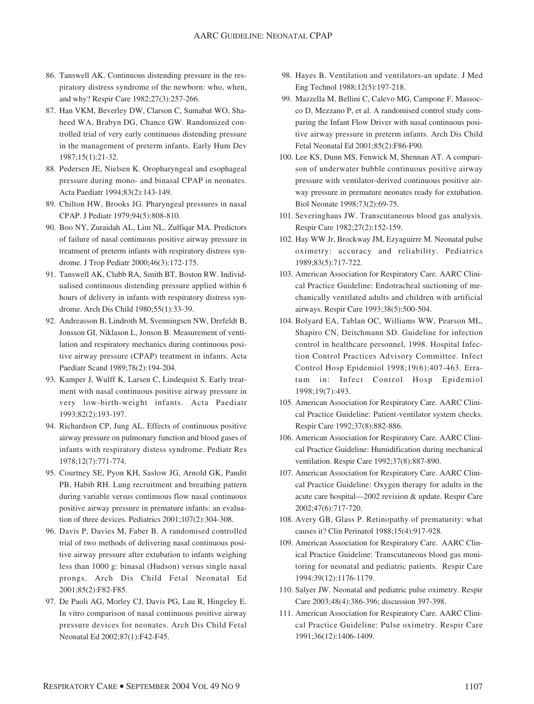- 86. Tanswell AK. Continuous distending pressure in the respiratory distress syndrome of the newborn: who, when, and why? Respir Care 1982;27(3):257-266.
- 87. Han VKM, Beverley DW, Clarson C, Sumabat WO, Shaheed WA, Brabyn DG, Chance GW. Randomized controlled trial of very early continuous distending pressure in the management of preterm infants. Early Hum Dev 1987;15(1):21-32.
- 88. Pedersen JE, Nielsen K. Oropharyngeal and esophageal pressure during mono- and binasal CPAP in neonates. Acta Paediatr 1994;83(2):143-149.
- 89. Chilton HW, Brooks JG. Pharyngeal pressures in nasal CPAP. J Pediatr 1979;94(5):808-810.
- 90. Boo NY, Zuraidah AL, Lim NL, Zulfiqar MA. Predictors of failure of nasal continuous positive airway pressure in treatment of preterm infants with respiratory distress syndrome. J Trop Pediatr 2000;46(3):172-175.
- 91. Tanswell AK, Clubb RA, Smith BT, Boston RW. Individualised continuous distending pressure applied within 6 hours of delivery in infants with respiratory distress syndrome. Arch Dis Child 1980;55(1):33-39.
- 92. Andreasson B, Lindroth M, Svenningsen NW, Drefeldt B, Jonsson GI, Niklason L, Jonson B. Measurement of ventilation and respiratory mechanics during continuous positive airway pressure (CPAP) treatment in infants. Acta Paediatr Scand 1989;78(2):194-204.
- 93. Kamper J, Wulff K, Larsen C, Lindequist S. Early treatment with nasal continuous positive airway pressure in very low-birth-weight infants. Acta Paediatr 1993;82(2):193-197.
- 94. Richardson CP, Jung AL. Effects of continuous positive airway pressure on pulmonary function and blood gases of infants with respiratory distess syndrome. Pediatr Res 1978;12(7):771-774.
- 95. Courtney SE, Pyon KH, Saslow JG, Arnold GK, Pandit PB, Habib RH. Lung recruitment and breathing pattern during variable versus continuous flow nasal continuous positive airway pressure in premature infants: an evaluation of three devices. Pediatrics 2001;107(2):304-308.
- 96. Davis P, Davies M, Faber B. A randomised controlled trial of two methods of delivering nasal continuous positive airway pressure after extubation to infants weighing less than 1000 g: binasal (Hudson) versus single nasal prongs. Arch Dis Child Fetal Neonatal Ed 2001;85(2):F82-F85.
- 97. De Paoli AG, Morley CJ, Davis PG, Lau R, Hingeley E. In vitro comparison of nasal continuous positive airway pressure devices for neonates. Arch Dis Child Fetal Neonatal Ed 2002;87(1):F42-F45.
- 98. Hayes B. Ventilation and ventilators-an update. J Med Eng Technol 1988;12(5):197-218.
- 99. Mazzella M, Bellini C, Calevo MG, Campone F, Massocco D, Mezzano P, et al. A randomised control study comparing the Infant Flow Driver with nasal continuous positive airway pressure in preterm infants. Arch Dis Child Fetal Neonatal Ed 2001;85(2):F86-F90.
- 100. Lee KS, Dunn MS, Fenwick M, Shennan AT. A comparison of underwater bubble continuous positive airway pressure with ventilator-derived continuous positive airway pressure in premature neonates ready for extubation. Biol Neonate 1998;73(2):69-75.
- 101. Severinghaus JW. Transcutaneous blood gas analysis. Respir Care 1982;27(2):152-159.
- 102. Hay WW Jr, Brockway JM, Ezyaguirre M. Neonatal pulse oximetry: accuracy and reliability. Pediatrics 1989;83(5):717-722.
- 103. American Association for Respiratory Care. AARC Clinical Practice Guideline: Endotracheal suctioning of mechanically ventilated adults and children with artificial airways. Respir Care 1993;38(5):500-504.
- 104. Bolyard EA, Tablan OC, Williams WW, Pearson ML, Shapiro CN, Deitchmann SD. Guideline for infection control in healthcare personnel, 1998. Hospital Infection Control Practices Advisory Committee. Infect Control Hosp Epidemiol 1998;19(6):407-463. Erratum in: Infect Control Hosp Epidemiol 1998;19(7):493.
- 105. American Association for Respiratory Care. AARC Clinical Practice Guideline: Patient-ventilator system checks. Respir Care 1992;37(8):882-886.
- 106. American Association for Respiratory Care. AARC Clinical Practice Guideline: Humidification during mechanical ventilation. Respir Care 1992;37(8):887-890.
- 107. American Association for Respiratory Care. AARC Clinical Practice Guideline: Oxygen therapy for adults in the acute care hospital—2002 revision & update. Respir Care 2002;47(6):717-720.
- 108. Avery GB, Glass P. Retinopathy of prematurity: what causes it? Clin Perinatol 1988;15(4):917-928.
- 109. American Association for Respiratory Care. AARC Clinical Practice Guideline: Transcutaneous blood gas monitoring for neonatal and pediatric patients. Respir Care 1994:39(12):1176-1179.
- 110. Salyer JW. Neonatal and pediatric pulse oximetry. Respir Care 2003;48(4):386-396; discussion 397-398.
- 111. American Association for Respiratory Care. AARC Clinical Practice Guideline: Pulse oximetry. Respir Care 1991;36(12):1406-1409.